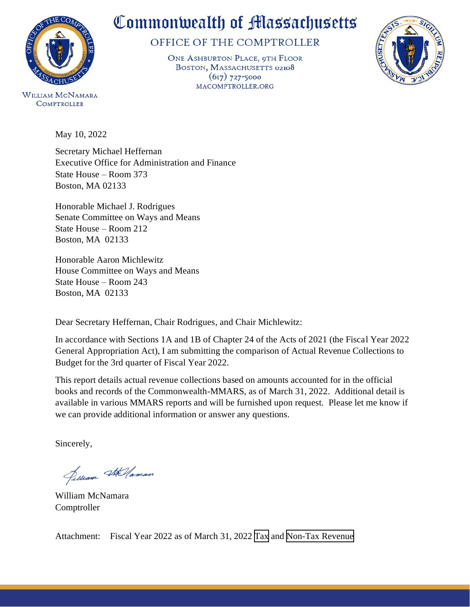

OFFICE OF THE COMPTROLLER

ONE ASHBURTON PLACE, 9TH FLOOR BOSTON, MASSACHUSETTS 02108  $(617) 727 - 5000$ MACOMPTROLLER.ORG



**WILLIAM MCNAMARA COMPTROLLER** 

May 10, 2022

Secretary Michael Heffernan Executive Office for Administration and Finance State House – Room 373 Boston, MA 02133

Honorable Michael J. Rodrigues Senate Committee on Ways and Means State House – Room 212 Boston, MA 02133

Honorable Aaron Michlewitz House Committee on Ways and Means State House – Room 243 Boston, MA 02133

Dear Secretary Heffernan, Chair Rodrigues, and Chair Michlewitz:

In accordance with Sections 1A and 1B of Chapter 24 of the Acts of 2021 (the Fiscal Year 2022 General Appropriation Act), I am submitting the comparison of Actual Revenue Collections to Budget for the 3rd quarter of Fiscal Year 2022.

This report details actual revenue collections based on amounts accounted for in the official books and records of the Commonwealth-MMARS, as of March 31, 2022. Additional detail is available in various MMARS reports and will be furnished upon request. Please let me know if we can provide additional information or answer any questions.

Sincerely,

Selliam Stellaman

William McNamara Comptroller

Attachment: Fiscal Year 2022 as of March 31, 2022 [Tax](#page-2-0) and [Non-Tax Revenue](#page-3-0)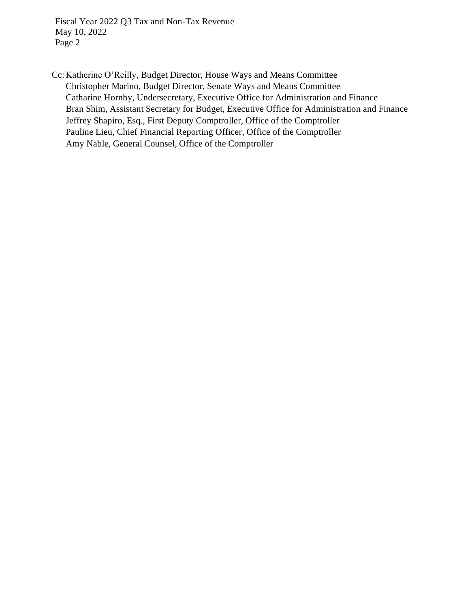Fiscal Year 2022 Q3 Tax and Non-Tax Revenue May 10, 2022 Page 2

Cc: Katherine O'Reilly, Budget Director, House Ways and Means Committee Christopher Marino, Budget Director, Senate Ways and Means Committee Catharine Hornby, Undersecretary, Executive Office for Administration and Finance Bran Shim, Assistant Secretary for Budget, Executive Office for Administration and Finance Jeffrey Shapiro, Esq., First Deputy Comptroller, Office of the Comptroller Pauline Lieu, Chief Financial Reporting Officer, Office of the Comptroller Amy Nable, General Counsel, Office of the Comptroller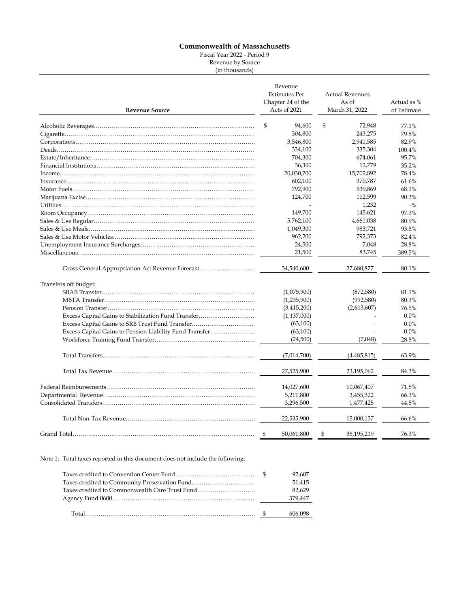Fiscal Year 2022 - Period 9

Revenue by Source (in thousands)

<span id="page-2-0"></span>

| <b>Revenue Source</b>                                   | Revenue<br><b>Estimates Per</b><br>Chapter 24 of the<br>Acts of 2021 | <b>Actual Revenues</b><br>As of<br>March 31, 2022 | Actual as %<br>of Estimate |
|---------------------------------------------------------|----------------------------------------------------------------------|---------------------------------------------------|----------------------------|
|                                                         | \$<br>94,600                                                         | \$<br>72,948                                      | 77.1%                      |
|                                                         | 304,800                                                              | 243,275                                           | 79.8%                      |
|                                                         | 3,546,800                                                            | 2,941,585                                         | 82.9%                      |
|                                                         | 334,100                                                              | 335,304                                           | 100.4%                     |
|                                                         | 704,300                                                              | 674,061                                           | 95.7%                      |
|                                                         | 36,300                                                               | 12,779                                            | 35.2%                      |
|                                                         | 20,030,700                                                           | 15,702,892                                        | 78.4%                      |
|                                                         | 602,100                                                              | 370,787                                           | 61.6%                      |
|                                                         | 792,900                                                              | 539,869                                           | 68.1%                      |
|                                                         | 124,700                                                              | 112,599                                           | 90.3%                      |
|                                                         |                                                                      | 1,232                                             | $-$ %                      |
|                                                         | 149,700                                                              | 145,621                                           | 97.3%                      |
|                                                         | 5,762,100                                                            | 4,661,038                                         | 80.9%                      |
|                                                         | 1,049,300                                                            | 983,721                                           | 93.8%                      |
|                                                         | 962,200                                                              | 792,373                                           | 82.4%                      |
|                                                         |                                                                      | 7,048                                             | 28.8%                      |
|                                                         | 24,500<br>21,500                                                     | 83,745                                            | 389.5%                     |
| Gross General Appropriation Act Revenue Forecast        | 34,540,600                                                           | 27,680,877                                        | 80.1%                      |
| Transfers off budget:                                   |                                                                      |                                                   |                            |
|                                                         | (1,075,900)                                                          | (872,580)                                         | 81.1%                      |
|                                                         | (1,235,900)                                                          | (992, 580)                                        | 80.3%                      |
|                                                         | (3,415,200)                                                          | (2,613,607)                                       | 76.5%                      |
| Excess Capital Gains to Stabilization Fund Transfer     | (1,137,000)                                                          |                                                   | $0.0\%$                    |
| Excess Capital Gains to SRB Trust Fund Transfer         | (63,100)                                                             |                                                   | 0.0%                       |
| Excess Capital Gains to Pension Liability Fund Transfer | (63,100)                                                             |                                                   | 0.0%                       |
|                                                         | (24,500)                                                             | (7,048)                                           | 28.8%                      |
|                                                         | (7,014,700)                                                          | (4,485,815)                                       | 63.9%                      |
|                                                         | 27,525,900                                                           | 23,195,062                                        | 84.3%                      |
|                                                         | 14,027,600                                                           | 10,067,407                                        | 71.8%                      |
|                                                         | 5,211,800                                                            | 3,455,322                                         | 66.3%                      |
|                                                         | 3,296,500                                                            | 1,477,428                                         | 44.8%                      |
|                                                         | 22,535,900                                                           | 15,000,157                                        | 66.6%                      |
|                                                         | 50,061,800<br>- \$                                                   | \$<br>38,195,219                                  | 76.3%                      |

Note 1: Total taxes reported in this document does not include the following:

|                                                | 92.607  |  |
|------------------------------------------------|---------|--|
| Taxes credited to Community Preservation Fund  | 51.415  |  |
| Taxes credited to Commonwealth Care Trust Fund | 82.629  |  |
|                                                | 379,447 |  |
|                                                | 606,098 |  |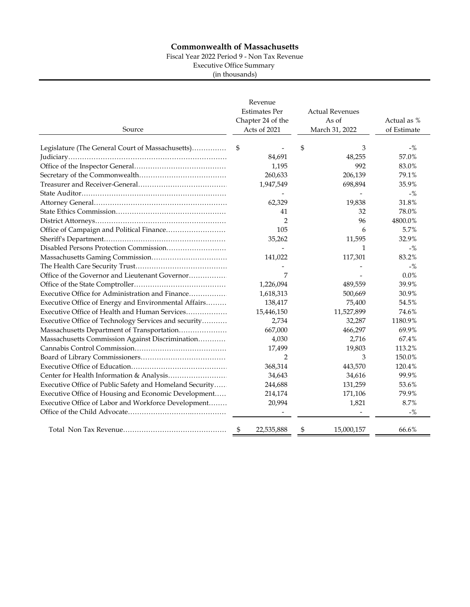Fiscal Year 2022 Period 9 - Non Tax Revenue

Executive Office Summary

(in thousands)

<span id="page-3-0"></span>

| Source                                                  | Revenue<br><b>Estimates Per</b><br>Chapter 24 of the<br>Acts of 2021 | <b>Actual Revenues</b><br>As of<br>March 31, 2022 | Actual as %<br>of Estimate |
|---------------------------------------------------------|----------------------------------------------------------------------|---------------------------------------------------|----------------------------|
| Legislature (The General Court of Massachusetts)        | \$                                                                   | \$<br>3                                           | $-$ %                      |
|                                                         | 84,691                                                               | 48,255                                            | 57.0%                      |
|                                                         | 1,195                                                                | 992                                               | 83.0%                      |
|                                                         | 260,633                                                              | 206,139                                           | 79.1%                      |
|                                                         | 1,947,549                                                            | 698,894                                           | 35.9%                      |
|                                                         |                                                                      |                                                   | $-$ %                      |
|                                                         | 62,329                                                               | 19,838                                            | 31.8%                      |
|                                                         | 41                                                                   | 32                                                | 78.0%                      |
|                                                         | $\overline{2}$                                                       | 96                                                | 4800.0%                    |
|                                                         | 105                                                                  | 6                                                 | 5.7%                       |
|                                                         | 35,262                                                               | 11,595                                            | 32.9%                      |
|                                                         |                                                                      | 1                                                 | $-$ %                      |
|                                                         | 141,022                                                              | 117,301                                           | 83.2%                      |
|                                                         |                                                                      |                                                   | $-$ %                      |
| Office of the Governor and Lieutenant Governor          | 7                                                                    |                                                   | 0.0%                       |
|                                                         | 1,226,094                                                            | 489,559                                           | 39.9%                      |
| Executive Office for Administration and Finance         | 1,618,313                                                            | 500,669                                           | 30.9%                      |
| Executive Office of Energy and Environmental Affairs    | 138,417                                                              | 75,400                                            | 54.5%                      |
| Executive Office of Health and Human Services           | 15,446,150                                                           | 11,527,899                                        | 74.6%                      |
| Executive Office of Technology Services and security    | 2,734                                                                | 32,287                                            | 1180.9%                    |
| Massachusetts Department of Transportation              | 667,000                                                              | 466,297                                           | 69.9%                      |
| Massachusetts Commission Against Discrimination         | 4,030                                                                | 2,716                                             | 67.4%                      |
|                                                         | 17,499                                                               | 19,803                                            | 113.2%                     |
|                                                         | $\overline{2}$                                                       | 3                                                 | 150.0%                     |
|                                                         | 368,314                                                              | 443,570                                           | 120.4%                     |
|                                                         | 34,643                                                               | 34,616                                            | 99.9%                      |
| Executive Office of Public Safety and Homeland Security | 244,688                                                              | 131,259                                           | 53.6%                      |
| Executive Office of Housing and Economic Development    | 214,174                                                              | 171,106                                           | 79.9%                      |
| Executive Office of Labor and Workforce Development     | 20,994                                                               | 1,821                                             | 8.7%                       |
|                                                         |                                                                      |                                                   | $-$ %                      |
|                                                         | \$<br>22,535,888                                                     | \$<br>15,000,157                                  | 66.6%                      |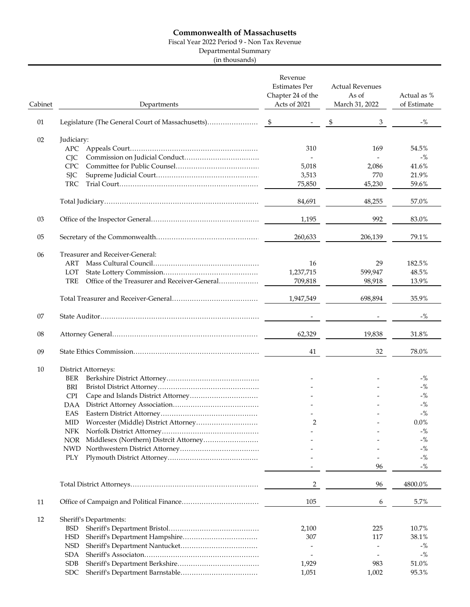Fiscal Year 2022 Period 9 - Non Tax Revenue

Departmental Summary

(in thousands)

| Cabinet | Departments                                                | Revenue<br><b>Estimates Per</b><br>Chapter 24 of the<br>Acts of 2021 | <b>Actual Revenues</b><br>As of<br>March 31, 2022 | Actual as %<br>of Estimate |
|---------|------------------------------------------------------------|----------------------------------------------------------------------|---------------------------------------------------|----------------------------|
| 01      |                                                            |                                                                      | \$<br>3                                           | $-$ %                      |
| 02      | Judiciary:                                                 | 310                                                                  | 169                                               | 54.5%                      |
|         | <b>CIC</b>                                                 |                                                                      |                                                   | $-$ %                      |
|         | <b>CPC</b>                                                 | 5,018                                                                | 2,086                                             | 41.6%                      |
|         | <b>SJC</b>                                                 | 3,513                                                                | 770                                               | 21.9%                      |
|         | <b>TRC</b>                                                 | 75,850                                                               | 45,230                                            | 59.6%                      |
|         |                                                            | 84,691                                                               | 48,255                                            | 57.0%                      |
| 03      |                                                            | 1,195                                                                | 992                                               | 83.0%                      |
| 05      |                                                            | 260,633                                                              | 206,139                                           | 79.1%                      |
| 06      | Treasurer and Receiver-General:                            |                                                                      |                                                   |                            |
|         | ART                                                        | 16                                                                   | 29                                                | 182.5%                     |
|         | LOT                                                        | 1,237,715                                                            | 599,947                                           | 48.5%                      |
|         | <b>TRE</b><br>Office of the Treasurer and Receiver-General | 709,818                                                              | 98,918                                            | 13.9%                      |
|         |                                                            | 1,947,549                                                            | 698,894                                           | 35.9%                      |
| 07      |                                                            |                                                                      |                                                   | $-$ %                      |
| 08      |                                                            | 62,329                                                               | 19,838                                            | 31.8%                      |
| 09      |                                                            | 41                                                                   | 32                                                | 78.0%                      |
| 10      | District Attorneys:                                        |                                                                      |                                                   |                            |
|         | <b>BER</b>                                                 |                                                                      |                                                   | $-$ %                      |
|         | BRI                                                        |                                                                      |                                                   | $-$ %                      |
|         | <b>CPI</b>                                                 |                                                                      |                                                   | $-$ %                      |
|         | DAA                                                        |                                                                      |                                                   | $-$ %                      |
|         | EAS                                                        | 2                                                                    |                                                   | $-$ %<br>$0.0\%$           |
|         | MID.<br><b>NFK</b>                                         |                                                                      |                                                   | $-$ %                      |
|         | <b>NOR</b><br>Middlesex (Northern) Distrcit Attorney       |                                                                      |                                                   | $-$ %                      |
|         |                                                            |                                                                      |                                                   | $-$ %                      |
|         | PLY                                                        |                                                                      |                                                   | $-$ %                      |
|         |                                                            |                                                                      | 96                                                | $-$ %                      |
|         |                                                            | $\overline{2}$                                                       | 96                                                | 4800.0%                    |
| 11      |                                                            | 105                                                                  | 6                                                 | 5.7%                       |
| 12      | Sheriff's Departments:                                     |                                                                      |                                                   |                            |
|         | <b>BSD</b>                                                 | 2,100                                                                | 225                                               | 10.7%                      |
|         | <b>HSD</b>                                                 | 307                                                                  | 117                                               | 38.1%                      |
|         | <b>NSD</b>                                                 |                                                                      |                                                   | $-$ %                      |
|         | <b>SDA</b>                                                 | $\overline{a}$                                                       |                                                   | $-$ %                      |
|         | <b>SDB</b>                                                 | 1,929                                                                | 983                                               | 51.0%                      |
|         | <b>SDC</b>                                                 | 1,051                                                                | 1,002                                             | 95.3%                      |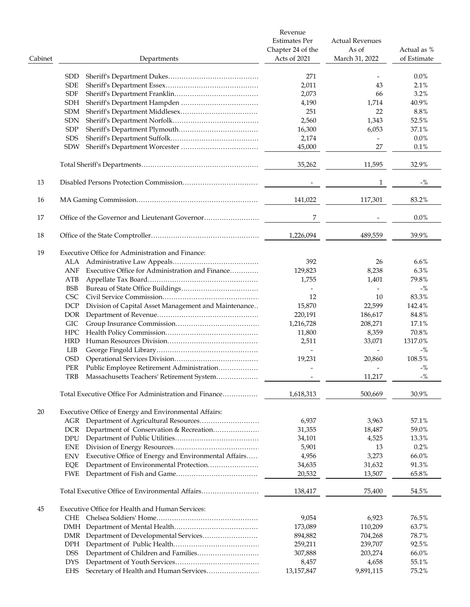|         |                                                                    | Revenue<br><b>Estimates Per</b><br>Chapter 24 of the | <b>Actual Revenues</b><br>As of | Actual as %        |
|---------|--------------------------------------------------------------------|------------------------------------------------------|---------------------------------|--------------------|
| Cabinet | Departments                                                        | Acts of 2021                                         | March 31, 2022                  | of Estimate        |
|         | <b>SDD</b>                                                         | 271                                                  |                                 | $0.0\%$            |
|         | <b>SDE</b>                                                         | 2,011                                                | 43                              | 2.1%               |
|         | <b>SDF</b>                                                         | 2,073                                                | 66                              | 3.2%               |
|         | SDH                                                                | 4,190                                                | 1,714                           | 40.9%              |
|         |                                                                    |                                                      |                                 |                    |
|         | SDM                                                                | 251                                                  | 22                              | 8.8%               |
|         | <b>SDN</b>                                                         | 2,560                                                | 1,343                           | 52.5%              |
|         | <b>SDP</b>                                                         | 16,300                                               | 6,053                           | 37.1%              |
|         | <b>SDS</b>                                                         | 2,174                                                |                                 | $0.0\%$            |
|         | <b>SDW</b>                                                         | 45,000                                               | 27                              | 0.1%               |
|         |                                                                    | 35,262                                               | 11,595                          | 32.9%              |
| 13      |                                                                    |                                                      | $\mathbf{1}$                    | $-$ %              |
| 16      |                                                                    | 141,022                                              | 117,301                         | 83.2%              |
|         |                                                                    |                                                      |                                 |                    |
| 17      |                                                                    | 7                                                    |                                 | $0.0\%$            |
| 18      |                                                                    | 1,226,094                                            | 489,559                         | 39.9%              |
| 19      | Executive Office for Administration and Finance:                   |                                                      |                                 |                    |
|         |                                                                    | 392                                                  | 26                              | $6.6\%$            |
|         | Executive Office for Administration and Finance<br>ANF             | 129,823                                              | 8,238                           | 6.3%               |
|         | ATB                                                                | 1,755                                                | 1,401                           | 79.8%              |
|         | BSB                                                                |                                                      |                                 | $-$ %              |
|         | <b>CSC</b>                                                         | 12                                                   | 10                              | 83.3%              |
|         |                                                                    |                                                      |                                 |                    |
|         | Division of Capital Asset Management and Maintenance<br><b>DCP</b> | 15,870                                               | 22,599                          | 142.4%             |
|         | DOR.                                                               | 220,191                                              | 186,617                         | 84.8%              |
|         | <b>GIC</b>                                                         | 1,216,728                                            | 208,271                         | 17.1%              |
|         | <b>HPC</b>                                                         | 11,800                                               | 8,359                           | 70.8%              |
|         | HRD                                                                | 2,511                                                | 33,071                          | 1317.0%            |
|         | LIB                                                                | $\overline{\phantom{a}}$                             | $\overline{\phantom{a}}$        | $-$ %              |
|         | <b>OSD</b>                                                         | 19,231                                               | 20,860                          | 108.5%             |
|         | Public Employee Retirement Administration<br>PER                   |                                                      |                                 | $-$ %              |
|         | Massachusetts Teachers' Retirement System<br>TRB                   |                                                      | 11,217                          | $\sim 0\!/_{\! 0}$ |
|         | Total Executive Office For Administration and Finance              | 1,618,313                                            | 500,669                         | 30.9%              |
|         |                                                                    |                                                      |                                 |                    |
| 20      | Executive Office of Energy and Environmental Affairs:              |                                                      |                                 |                    |
|         | AGR Department of Agricultural Resources                           | 6,937                                                | 3,963                           | 57.1%              |
|         | Department of Conservation & Recreation<br>DCR.                    | 31,355                                               | 18,487                          | 59.0%              |
|         | DPU                                                                | 34,101                                               | 4,525                           | 13.3%              |
|         | <b>ENE</b>                                                         | 5,901                                                | 13                              | 0.2%               |
|         | Executive Office of Energy and Environmental Affairs<br><b>ENV</b> | 4,956                                                | 3,273                           | 66.0%              |
|         | Department of Environmental Protection<br>EQE                      | 34,635                                               | 31,632                          | 91.3%              |
|         | FWE                                                                | 20,532                                               | 13,507                          | 65.8%              |
|         | Total Executive Office of Environmental Affairs                    | 138,417                                              | 75,400                          | 54.5%              |
| 45      | Executive Office for Health and Human Services:                    |                                                      |                                 |                    |
|         | CHE.                                                               | 9,054                                                | 6,923                           | 76.5%              |
|         |                                                                    |                                                      |                                 |                    |
|         |                                                                    | 173,089                                              | 110,209                         | 63.7%              |
|         |                                                                    | 894,882                                              | 704,268                         | 78.7%              |
|         | <b>DPH</b>                                                         | 259,211                                              | 239,707                         | 92.5%              |
|         | <b>DSS</b>                                                         | 307,888                                              | 203,274                         | 66.0%              |
|         | <b>DYS</b>                                                         | 8,457                                                | 4,658                           | 55.1%              |
|         | Secretary of Health and Human Services<br>EHS                      | 13,157,847                                           | 9,891,115                       | 75.2%              |
|         |                                                                    |                                                      |                                 |                    |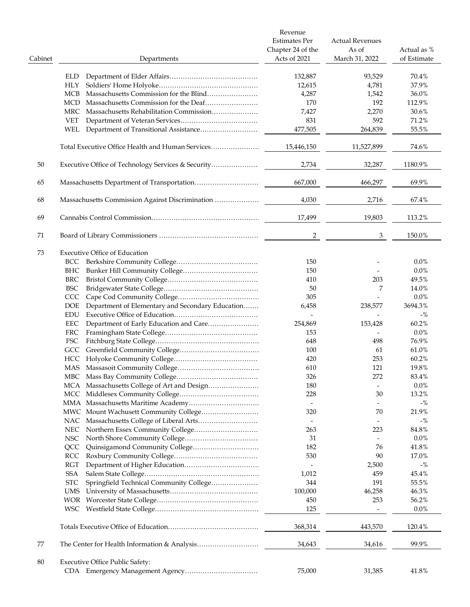|         |                                                         | Revenue<br><b>Estimates Per</b><br>Chapter 24 of the | <b>Actual Revenues</b><br>As of | Actual as % |
|---------|---------------------------------------------------------|------------------------------------------------------|---------------------------------|-------------|
| Cabinet | Departments                                             | Acts of 2021                                         | March 31, 2022                  | of Estimate |
|         | ELD.                                                    | 132,887                                              | 93,529                          | 70.4%       |
|         | <b>HLY</b>                                              | 12,615                                               | 4,781                           | 37.9%       |
|         | MCB                                                     | 4,287                                                | 1,542                           | 36.0%       |
|         | <b>MCD</b>                                              | 170                                                  | 192                             | 112.9%      |
|         | Massachusetts Rehabilitation Commission<br>MRC          | 7,427                                                | 2,270                           | 30.6%       |
|         | <b>VET</b>                                              | 831                                                  | 592                             | 71.2%       |
|         | WEL                                                     | 477,505                                              | 264,839                         | 55.5%       |
|         | Total Executive Office Health and Human Services        | 15,446,150                                           | 11,527,899                      | 74.6%       |
| 50      | Executive Office of Technology Services & Security      | 2,734                                                | 32,287                          | 1180.9%     |
| 65      |                                                         | 667,000                                              | 466,297                         | 69.9%       |
|         |                                                         |                                                      |                                 |             |
| 68      |                                                         | 4,030                                                | 2,716                           | 67.4%       |
| 69      |                                                         | 17,499                                               | 19,803                          | 113.2%      |
| 71      |                                                         | 2                                                    | 3                               | 150.0%      |
| 73      | <b>Executive Office of Education</b>                    |                                                      |                                 |             |
|         | BCC                                                     | 150                                                  |                                 | $0.0\%$     |
|         | BHC                                                     | 150                                                  |                                 | $0.0\%$     |
|         | BRC                                                     | 410                                                  | 203                             | 49.5%       |
|         | <b>BSC</b>                                              | 50                                                   | 7                               | 14.0%       |
|         | CCC                                                     | 305                                                  |                                 | $0.0\%$     |
|         | Department of Elementary and Secondary Education<br>DOE | 6,458                                                | 238,577                         | 3694.3%     |
|         | <b>EDU</b>                                              |                                                      |                                 |             |
|         |                                                         |                                                      |                                 | $-$ %       |
|         | Department of Early Education and Care<br>EEC           | 254,869                                              | 153,428                         | 60.2%       |
|         | FRC                                                     | 153                                                  | $\overline{\phantom{0}}$        | $0.0\%$     |
|         | FSC                                                     | 648                                                  | 498                             | 76.9%       |
|         |                                                         | 100                                                  | 61                              | 61.0%       |
|         | HCC                                                     | 420                                                  | 253                             | 60.2%       |
|         | MAS                                                     | 610                                                  | 121                             | 19.8%       |
|         |                                                         | 326                                                  | 272                             | 83.4%       |
|         | MCA Massachusetts College of Art and Design             | 180                                                  |                                 | 0.0%        |
|         |                                                         | 228                                                  | 30                              | 13.2%       |
|         |                                                         | $\overline{a}$                                       | $\overline{\phantom{a}}$        | $-$ %       |
|         | MWC Mount Wachusett Community College                   | 320                                                  | 70                              | 21.9%       |
|         |                                                         |                                                      | $\overline{a}$                  | $-$ %       |
|         | NEC                                                     | 263                                                  | 223                             | 84.8%       |
|         |                                                         |                                                      |                                 |             |
|         | NSC                                                     | 31                                                   |                                 | $0.0\%$     |
|         | QCC                                                     | 182                                                  | 76                              | 41.8%       |
|         | RCC                                                     | 530                                                  | 90                              | 17.0%       |
|         | RGT                                                     |                                                      | 2,500                           | $-$ %       |
|         | SSA                                                     | 1,012                                                | 459                             | 45.4%       |
|         | Springfield Technical Community College<br><b>STC</b>   | 344                                                  | 191                             | 55.5%       |
|         | UMS                                                     | 100,000                                              | 46,258                          | 46.3%       |
|         |                                                         | 450                                                  | 253                             | 56.2%       |
|         |                                                         | 125                                                  | $\overline{\phantom{a}}$        | $0.0\%$     |
|         |                                                         | 368,314                                              | 443,570                         | 120.4%      |
| 77      |                                                         | 34,643                                               | 34,616                          | 99.9%       |
| 80      | <b>Executive Office Public Safety:</b>                  |                                                      |                                 |             |
|         |                                                         | 75,000                                               | 31,385                          | 41.8%       |